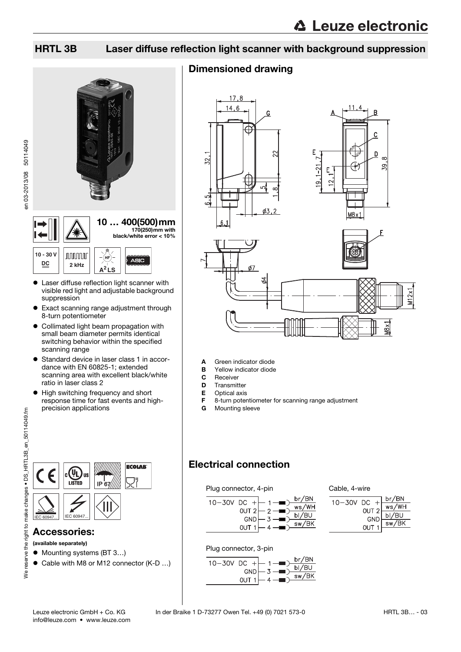en 03-2013/08 50114049

### HRTL 3B Laser diffuse reflection light scanner with background suppression







- Laser diffuse reflection light scanner with visible red light and adjustable background suppression
- Exact scanning range adjustment through 8-turn potentiometer
- Collimated light beam propagation with small beam diameter permits identical switching behavior within the specified scanning range
- Standard device in laser class 1 in accordance with EN 60825-1; extended scanning area with excellent black/white ratio in laser class 2
- High switching frequency and short response time for fast events and highprecision applications

| ←         | <b>US</b><br><b>LISTED</b> | 6 <sub>1</sub><br>IP | <b>ECOLAB</b> |
|-----------|----------------------------|----------------------|---------------|
| IEC 60947 | IEC 60947                  |                      |               |

#### Accessories:

(available separately)

- Mounting systems (BT 3...)
- Cable with M8 or M12 connector (K-D ...)

### Dimensioned drawing



- A Green indicator diode
- **B** Yellow indicator diode
- 
- **C** Receiver<br>**D** Transmit Transmitter
- E Optical axis
- F 8-turn potentiometer for scanning range adjustment
- **G** Mounting sleeve

### Electrical connection

#### Plug connector, 4-pin







#### Plug connector, 3-pin

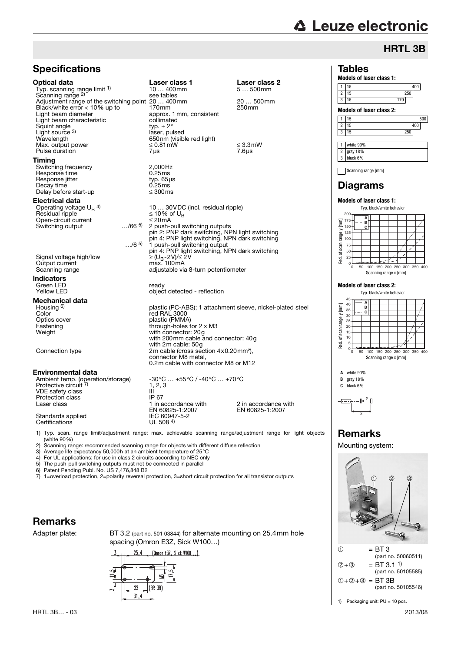# **△ Leuze electronic**

**Models of laser class 1:**

1 15 400 2 15 250<br>3 15 270

1 15 500 2 15 400 3 15 250

**Models of laser class 2:**

Tables

1 white 90% 2 gray 18% 3 black 6%

3 15

## HRTL 3B

| <b>Specifications</b>                                                                                                                                                                                                                                                                                           |                                                                                                                                                                                                                  |                                                                                              |
|-----------------------------------------------------------------------------------------------------------------------------------------------------------------------------------------------------------------------------------------------------------------------------------------------------------------|------------------------------------------------------------------------------------------------------------------------------------------------------------------------------------------------------------------|----------------------------------------------------------------------------------------------|
| Optical data<br>Typ. scanning range limit 1)<br>Scanning range <sup>2)</sup><br>Adjustment range of the switching point 20  400mm<br>Black/white error < 10% up to<br>Light beam diameter<br>Light beam characteristic<br>Squint angle<br>Light source $3$<br>Wavelength<br>Max. output power<br>Pulse duration | Laser class 1<br>$10400$ mm<br>see tables<br>170 <sub>mm</sub><br>approx. 1 mm, consistent<br>collimated<br>typ. $\pm$ 2 $^{\circ}$<br>laser, pulsed<br>650nm (visible red light)<br>$\leq 0.81$ mW<br>$7 \mu s$ | Laser class 2<br>$5500$ mm<br>20  500mm<br>250 <sub>mm</sub><br>$\leq$ 3.3 mW<br>$7.6 \mu s$ |
| Timing<br>Switching frequency                                                                                                                                                                                                                                                                                   | 2.000Hz                                                                                                                                                                                                          |                                                                                              |
| Response time<br>Response jitter<br>Decay time<br>Delay before start-up                                                                                                                                                                                                                                         | 0.25ms<br>typ. $65\mu s$<br>0.25ms<br>$\leq 300$ ms                                                                                                                                                              |                                                                                              |
| Electrical data                                                                                                                                                                                                                                                                                                 |                                                                                                                                                                                                                  |                                                                                              |
| Operating voltage $U_B$ <sup>4)</sup><br>Residual ripple<br>Open-circuit current<br>$\dots$ /66 <sup>5)</sup><br>Switching output                                                                                                                                                                               | 10  30 VDC (incl. residual ripple)<br>≤ 10% of U <sub>R</sub><br>$\leq$ 20 mA<br>2 push-pull switching outputs<br>pin 2: PNP dark switching, NPN light switching                                                 |                                                                                              |
| /65                                                                                                                                                                                                                                                                                                             | pin 4: PNP light switching, NPN dark switching<br>1 push-pull switching output                                                                                                                                   |                                                                                              |
| Signal voltage high/low<br>Output current<br>Scanning range                                                                                                                                                                                                                                                     | pin 4: PNP light switching, NPN dark switching<br>$\geq (U_B - 2V)/ \leq 2V$<br>max. 100mA<br>adjustable via 8-turn potentiometer                                                                                |                                                                                              |
| Indicators                                                                                                                                                                                                                                                                                                      |                                                                                                                                                                                                                  |                                                                                              |
| Green LED<br><b>Yellow LED</b>                                                                                                                                                                                                                                                                                  | ready<br>object detected - reflection                                                                                                                                                                            |                                                                                              |
| Mechanical data                                                                                                                                                                                                                                                                                                 |                                                                                                                                                                                                                  |                                                                                              |
| Housing <sup>6)</sup><br>Color                                                                                                                                                                                                                                                                                  | plastic (PC-ABS); 1 attachment sleeve, nickel-plated steel                                                                                                                                                       |                                                                                              |
| Optics cover                                                                                                                                                                                                                                                                                                    | red RAL 3000<br>plastic (PMMA)                                                                                                                                                                                   |                                                                                              |
| Fastening<br>Weight                                                                                                                                                                                                                                                                                             | through-holes for 2 x M3<br>with connector: 20g<br>with 200mm cable and connector: 40g                                                                                                                           |                                                                                              |
| Connection type                                                                                                                                                                                                                                                                                                 | with 2m cable: 50g<br>2m cable (cross section 4x0.20mm <sup>2</sup> ),<br>connector M8 metal.                                                                                                                    |                                                                                              |
|                                                                                                                                                                                                                                                                                                                 | 0.2m cable with connector M8 or M12                                                                                                                                                                              |                                                                                              |
| Environmental data                                                                                                                                                                                                                                                                                              | $-30^{\circ}$ C $$ $+55^{\circ}$ C / $-40^{\circ}$ C $$ $+70^{\circ}$ C                                                                                                                                          |                                                                                              |
| Ambient temp. (operation/storage)<br>Protective circuit 7)                                                                                                                                                                                                                                                      | 1, 2, 3                                                                                                                                                                                                          |                                                                                              |
| VDE safety class                                                                                                                                                                                                                                                                                                | Ш                                                                                                                                                                                                                |                                                                                              |
| Protection class                                                                                                                                                                                                                                                                                                | IP 67                                                                                                                                                                                                            |                                                                                              |
| Laser class                                                                                                                                                                                                                                                                                                     | 1 in accordance with<br>EN 60825-1:2007                                                                                                                                                                          | 2 in accordance with<br>EN 60825-1:2007                                                      |
| Standards applied<br>Certifications                                                                                                                                                                                                                                                                             | IEC 60947-5-2<br>UL 508 $4$ )                                                                                                                                                                                    |                                                                                              |
| 1) Typ. scan. range limit/adjustment range: max. achievable scanning range/adjustment range for light objects<br>(white 90%)                                                                                                                                                                                    |                                                                                                                                                                                                                  |                                                                                              |

2) Scanning range: recommended scanning range for objects with different diffuse reflection<br>3) Average life expectancy 50,000h at an ambient temperature of 25°C

- 3) Average life expectancy 50,000h at an ambient temperature of 25°C 4) For UL applications: for use in class 2 circuits according to NEC only
- 4) For UL applications: for use in class 2 circuits according to NEC only<br>5) The push-pull switching outputs must not be connected in parallel<br>6) Patent Pending Publ. No. US 7,476,848 B2 5) The push-pull switching outputs must not be connected in parallel

6) Patent Pending Publ. No. US 7,476,848 B2

7) 1=overload protection, 2=polarity reversal protection, 3=short circuit protection for all transistor outputs

#### Remarks

Adapter plate: BT 3.2 (part no. 501 03844) for alternate mounting on 25.4mm hole spacing (Omron E3Z, Sick W100…)





## Remarks

Mounting system:



1) Packaging unit: PU = 10 pcs.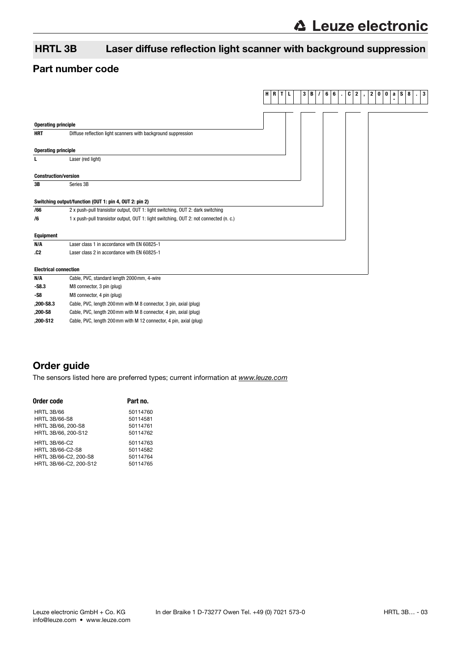### HRTL 3B Laser diffuse reflection light scanner with background suppression

#### Part number code

|                              |                                                                                       | H R | $\mathbf{T}$ | L | $3 \mid B$ | $\prime$ | 6<br>6 | $\epsilon$ | C<br>$\mathbf{2}$ | $\mathbf{r}$ | 0 0<br>$\mathbf{2}$ | <b>S</b><br>$\mathbf{a}$ | 8<br>3<br>$\mathbf{r}$ |
|------------------------------|---------------------------------------------------------------------------------------|-----|--------------|---|------------|----------|--------|------------|-------------------|--------------|---------------------|--------------------------|------------------------|
|                              |                                                                                       |     |              |   |            |          |        |            |                   |              |                     |                          |                        |
|                              |                                                                                       |     |              |   |            |          |        |            |                   |              |                     |                          |                        |
| <b>Operating principle</b>   |                                                                                       |     |              |   |            |          |        |            |                   |              |                     |                          |                        |
| <b>HRT</b>                   | Diffuse reflection light scanners with background suppression                         |     |              |   |            |          |        |            |                   |              |                     |                          |                        |
|                              |                                                                                       |     |              |   |            |          |        |            |                   |              |                     |                          |                        |
| <b>Operating principle</b>   |                                                                                       |     |              |   |            |          |        |            |                   |              |                     |                          |                        |
| L                            | Laser (red light)                                                                     |     |              |   |            |          |        |            |                   |              |                     |                          |                        |
|                              |                                                                                       |     |              |   |            |          |        |            |                   |              |                     |                          |                        |
| <b>Construction/version</b>  |                                                                                       |     |              |   |            |          |        |            |                   |              |                     |                          |                        |
| 3B                           | Series 3B                                                                             |     |              |   |            |          |        |            |                   |              |                     |                          |                        |
|                              |                                                                                       |     |              |   |            |          |        |            |                   |              |                     |                          |                        |
|                              | Switching output/function (OUT 1: pin 4, OUT 2: pin 2)                                |     |              |   |            |          |        |            |                   |              |                     |                          |                        |
| /66                          | 2 x push-pull transistor output, OUT 1: light switching, OUT 2: dark switching        |     |              |   |            |          |        |            |                   |              |                     |                          |                        |
| /6                           | 1 x push-pull transistor output, OUT 1: light switching, OUT 2: not connected (n. c.) |     |              |   |            |          |        |            |                   |              |                     |                          |                        |
|                              |                                                                                       |     |              |   |            |          |        |            |                   |              |                     |                          |                        |
| <b>Equipment</b>             |                                                                                       |     |              |   |            |          |        |            |                   |              |                     |                          |                        |
| N/A                          | Laser class 1 in accordance with EN 60825-1                                           |     |              |   |            |          |        |            |                   |              |                     |                          |                        |
| .C <sub>2</sub>              | Laser class 2 in accordance with EN 60825-1                                           |     |              |   |            |          |        |            |                   |              |                     |                          |                        |
| <b>Electrical connection</b> |                                                                                       |     |              |   |            |          |        |            |                   |              |                     |                          |                        |
| N/A                          | Cable, PVC, standard length 2000mm, 4-wire                                            |     |              |   |            |          |        |            |                   |              |                     |                          |                        |
| $-S8.3$                      | M8 connector, 3 pin (plug)                                                            |     |              |   |            |          |        |            |                   |              |                     |                          |                        |
| -S8                          | M8 connector, 4 pin (plug)                                                            |     |              |   |            |          |        |            |                   |              |                     |                          |                        |

**,200-S8.3** Cable, PVC, length 200mm with M 8 connector, 3 pin, axial (plug)

**,200-S8** Cable, PVC, length 200mm with M 8 connector, 4 pin, axial (plug)

**,200-S12** Cable, PVC, length 200mm with M 12 connector, 4 pin, axial (plug)

### Order guide

[The sensors listed here are preferred types; current information at](http://www.leuze.com) www.leuze.com

| Order code              | Part no. |
|-------------------------|----------|
| <b>HRTL 3B/66</b>       | 50114760 |
| <b>HRTL 3B/66-S8</b>    | 50114581 |
| HRTL 3B/66, 200-S8      | 50114761 |
| HRTL 3B/66, 200-S12     | 50114762 |
| <b>HRTL 3B/66-C2</b>    | 50114763 |
| <b>HRTL 3B/66-C2-S8</b> | 50114582 |
| HRTL 3B/66-C2, 200-S8   | 50114764 |
| HRTL 3B/66-C2, 200-S12  | 50114765 |
|                         |          |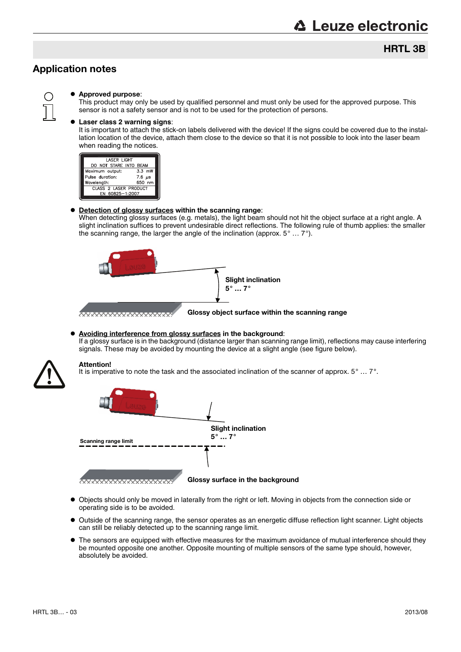### HRTL 3B

#### Application notes



#### Approved purpose:

This product may only be used by qualified personnel and must only be used for the approved purpose. This sensor is not a safety sensor and is not to be used for the protection of persons.

#### **Laser class 2 warning signs**:

It is important to attach the stick-on labels delivered with the device! If the signs could be covered due to the installation location of the device, attach them close to the device so that it is not possible to look into the laser beam when reading the notices.



#### **• Detection of glossy surfaces within the scanning range:**

When detecting glossy surfaces (e.g. metals), the light beam should not hit the object surface at a right angle. A slight inclination suffices to prevent undesirable direct reflections. The following rule of thumb applies: the smaller the scanning range, the larger the angle of the inclination (approx. 5° … 7°).



#### Avoiding interference from glossy surfaces in the background: If a glossy surface is in the background (distance larger than scanning range limit), reflections may cause interfering signals. These may be avoided by mounting the device at a slight angle (see figure below).



#### Attention!

It is imperative to note the task and the associated inclination of the scanner of approx. 5° … 7°.



Glossy surface in the background

- Objects should only be moved in laterally from the right or left. Moving in objects from the connection side or operating side is to be avoided.
- Outside of the scanning range, the sensor operates as an energetic diffuse reflection light scanner. Light objects can still be reliably detected up to the scanning range limit.
- $\bullet$  The sensors are equipped with effective measures for the maximum avoidance of mutual interference should they be mounted opposite one another. Opposite mounting of multiple sensors of the same type should, however, absolutely be avoided.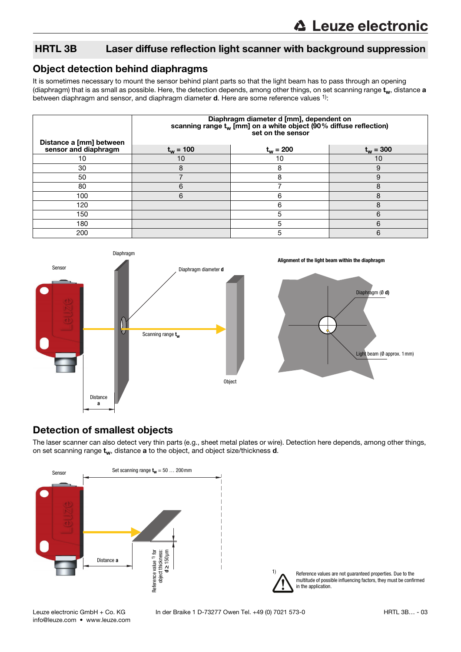### HRTL 3B Laser diffuse reflection light scanner with background suppression

#### Object detection behind diaphragms

It is sometimes necessary to mount the sensor behind plant parts so that the light beam has to pass through an opening (diaphragm) that is as small as possible. Here, the detection depends, among other things, on set scanning range  $t_w$ , distance a between diaphragm and sensor, and diaphragm diameter d. Here are some reference values 1):

|                                                 | Diaphragm diameter d [mm], dependent on<br>scanning range $t_w$ [mm] on a white object (90% diffuse reflection)<br>set on the sensor |             |             |  |  |  |  |
|-------------------------------------------------|--------------------------------------------------------------------------------------------------------------------------------------|-------------|-------------|--|--|--|--|
| Distance a [mm] between<br>sensor and diaphragm | $t_w = 100$                                                                                                                          | $t_w = 200$ | $t_w = 300$ |  |  |  |  |
| 10                                              | 10                                                                                                                                   | 10          | 10          |  |  |  |  |
| 30                                              | 8                                                                                                                                    | 8           | 9           |  |  |  |  |
| 50                                              |                                                                                                                                      | 8           | 9           |  |  |  |  |
| 80                                              | 6                                                                                                                                    |             | 8           |  |  |  |  |
| 100                                             | 6                                                                                                                                    | 6           | 8           |  |  |  |  |
| 120                                             |                                                                                                                                      | 6           | я           |  |  |  |  |
| 150                                             |                                                                                                                                      | 5           | 6           |  |  |  |  |
| 180                                             |                                                                                                                                      | 5           | 6           |  |  |  |  |
| 200                                             |                                                                                                                                      | 5           | 6           |  |  |  |  |



#### Detection of smallest objects

The laser scanner can also detect very thin parts (e.g., sheet metal plates or wire). Detection here depends, among other things, on set scanning range  $t_w$ , distance a to the object, and object size/thickness  $d$ .



Reference values are not guaranteed properties. Due to the multitude of possible influencing factors, they must be confirmed

in the application.

1)